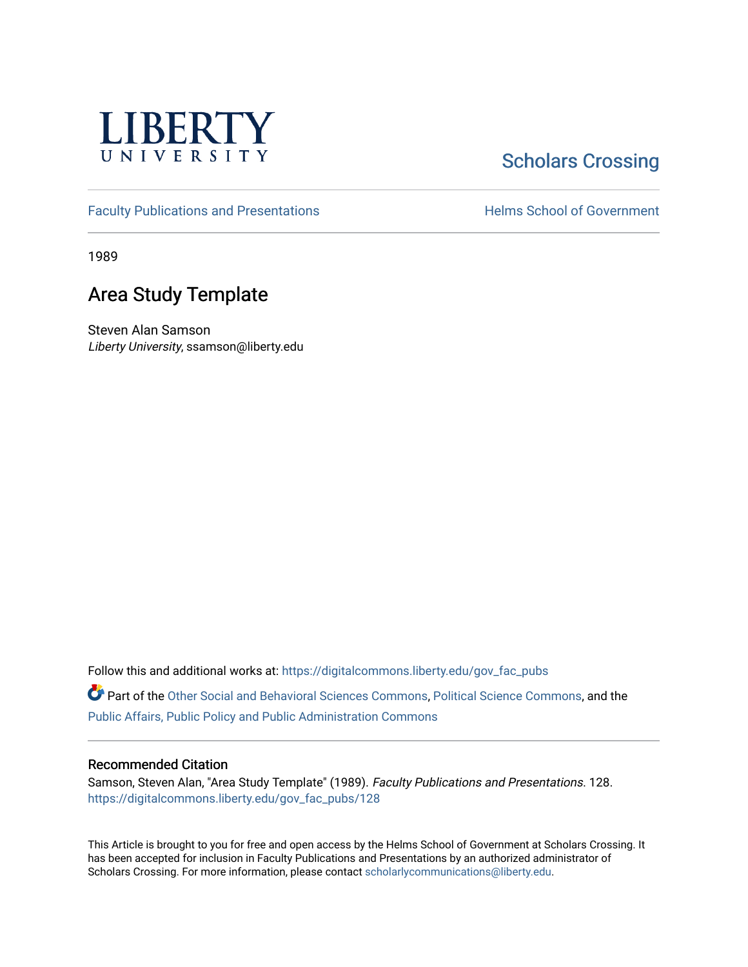

# **Scholars Crossing**

[Faculty Publications and Presentations](https://digitalcommons.liberty.edu/gov_fac_pubs) **Exercise School of Government** 

1989

### Area Study Template

Steven Alan Samson Liberty University, ssamson@liberty.edu

Follow this and additional works at: [https://digitalcommons.liberty.edu/gov\\_fac\\_pubs](https://digitalcommons.liberty.edu/gov_fac_pubs?utm_source=digitalcommons.liberty.edu%2Fgov_fac_pubs%2F128&utm_medium=PDF&utm_campaign=PDFCoverPages)

Part of the [Other Social and Behavioral Sciences Commons](http://network.bepress.com/hgg/discipline/437?utm_source=digitalcommons.liberty.edu%2Fgov_fac_pubs%2F128&utm_medium=PDF&utm_campaign=PDFCoverPages), [Political Science Commons](http://network.bepress.com/hgg/discipline/386?utm_source=digitalcommons.liberty.edu%2Fgov_fac_pubs%2F128&utm_medium=PDF&utm_campaign=PDFCoverPages), and the [Public Affairs, Public Policy and Public Administration Commons](http://network.bepress.com/hgg/discipline/393?utm_source=digitalcommons.liberty.edu%2Fgov_fac_pubs%2F128&utm_medium=PDF&utm_campaign=PDFCoverPages)

#### Recommended Citation

Samson, Steven Alan, "Area Study Template" (1989). Faculty Publications and Presentations. 128. [https://digitalcommons.liberty.edu/gov\\_fac\\_pubs/128](https://digitalcommons.liberty.edu/gov_fac_pubs/128?utm_source=digitalcommons.liberty.edu%2Fgov_fac_pubs%2F128&utm_medium=PDF&utm_campaign=PDFCoverPages)

This Article is brought to you for free and open access by the Helms School of Government at Scholars Crossing. It has been accepted for inclusion in Faculty Publications and Presentations by an authorized administrator of Scholars Crossing. For more information, please contact [scholarlycommunications@liberty.edu.](mailto:scholarlycommunications@liberty.edu)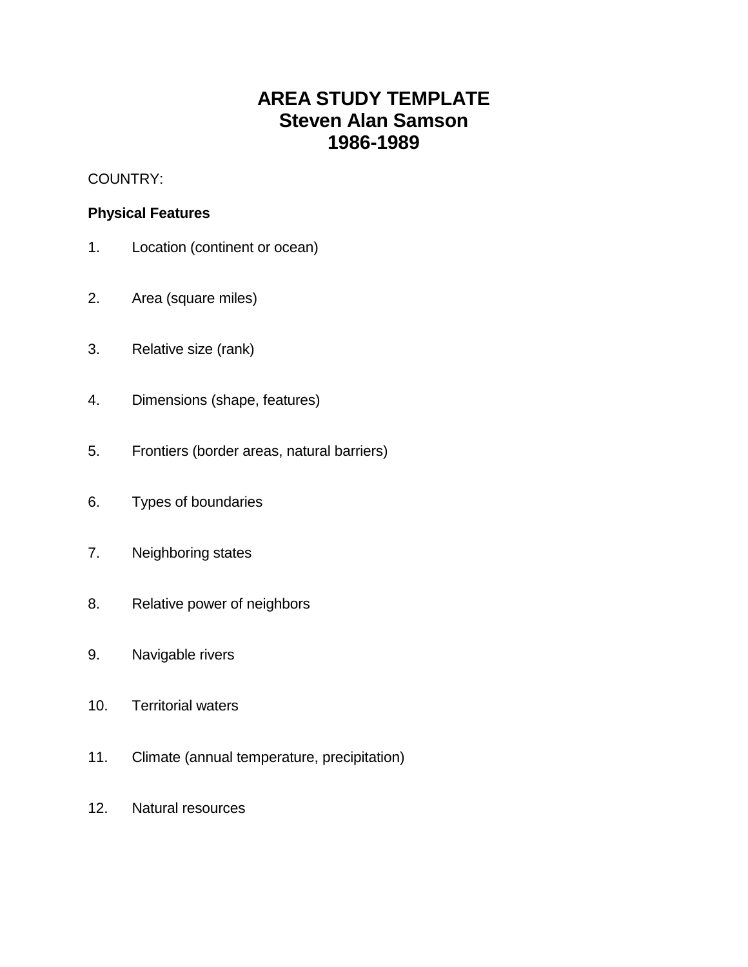## **AREA STUDY TEMPLATE Steven Alan Samson 1986-1989**

COUNTRY:

#### **Physical Features**

- 1. Location (continent or ocean)
- 2. Area (square miles)
- 3. Relative size (rank)
- 4. Dimensions (shape, features)
- 5. Frontiers (border areas, natural barriers)
- 6. Types of boundaries
- 7. Neighboring states
- 8. Relative power of neighbors
- 9. Navigable rivers
- 10. Territorial waters
- 11. Climate (annual temperature, precipitation)
- 12. Natural resources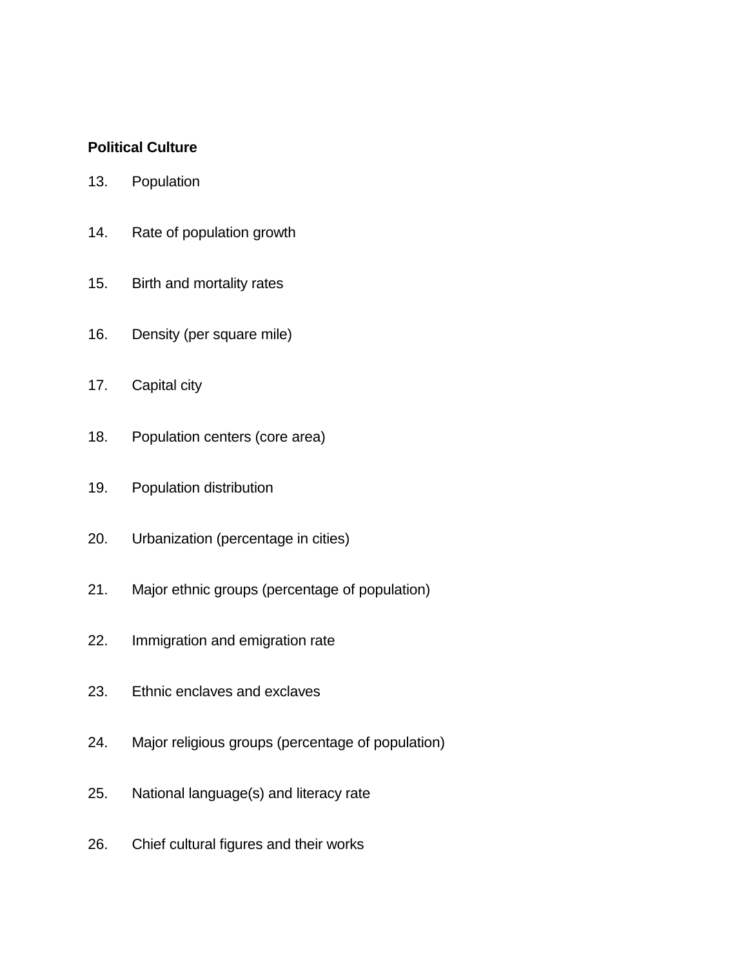#### **Political Culture**

- 13. Population
- 14. Rate of population growth
- 15. Birth and mortality rates
- 16. Density (per square mile)
- 17. Capital city
- 18. Population centers (core area)
- 19. Population distribution
- 20. Urbanization (percentage in cities)
- 21. Major ethnic groups (percentage of population)
- 22. Immigration and emigration rate
- 23. Ethnic enclaves and exclaves
- 24. Major religious groups (percentage of population)
- 25. National language(s) and literacy rate
- 26. Chief cultural figures and their works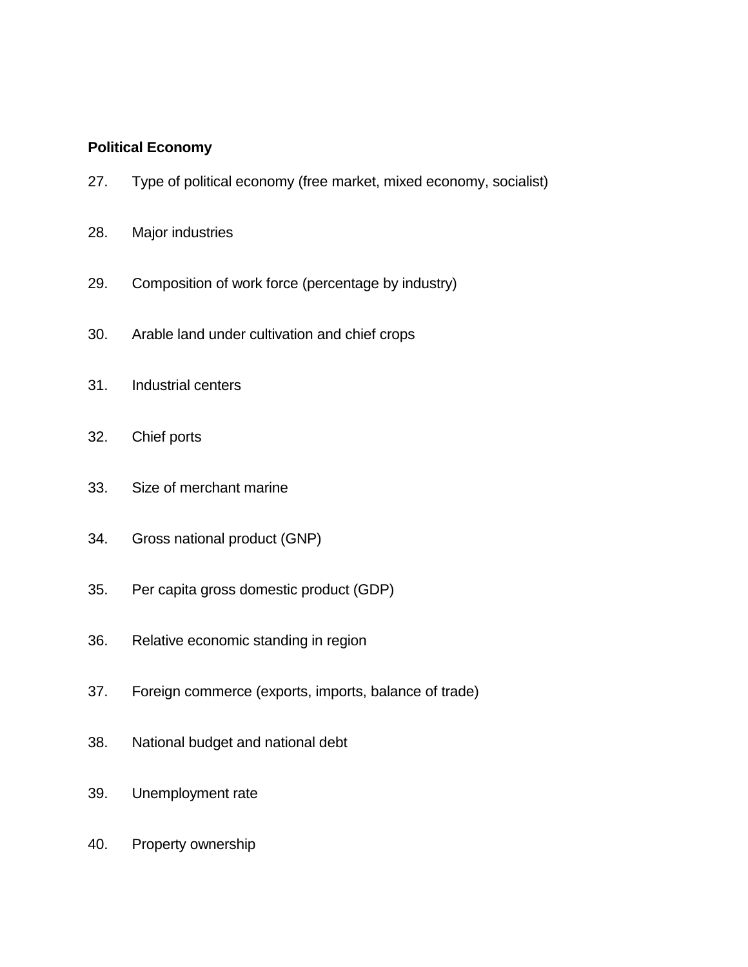#### **Political Economy**

- 27. Type of political economy (free market, mixed economy, socialist)
- 28. Major industries
- 29. Composition of work force (percentage by industry)
- 30. Arable land under cultivation and chief crops
- 31. Industrial centers
- 32. Chief ports
- 33. Size of merchant marine
- 34. Gross national product (GNP)
- 35. Per capita gross domestic product (GDP)
- 36. Relative economic standing in region
- 37. Foreign commerce (exports, imports, balance of trade)
- 38. National budget and national debt
- 39. Unemployment rate
- 40. Property ownership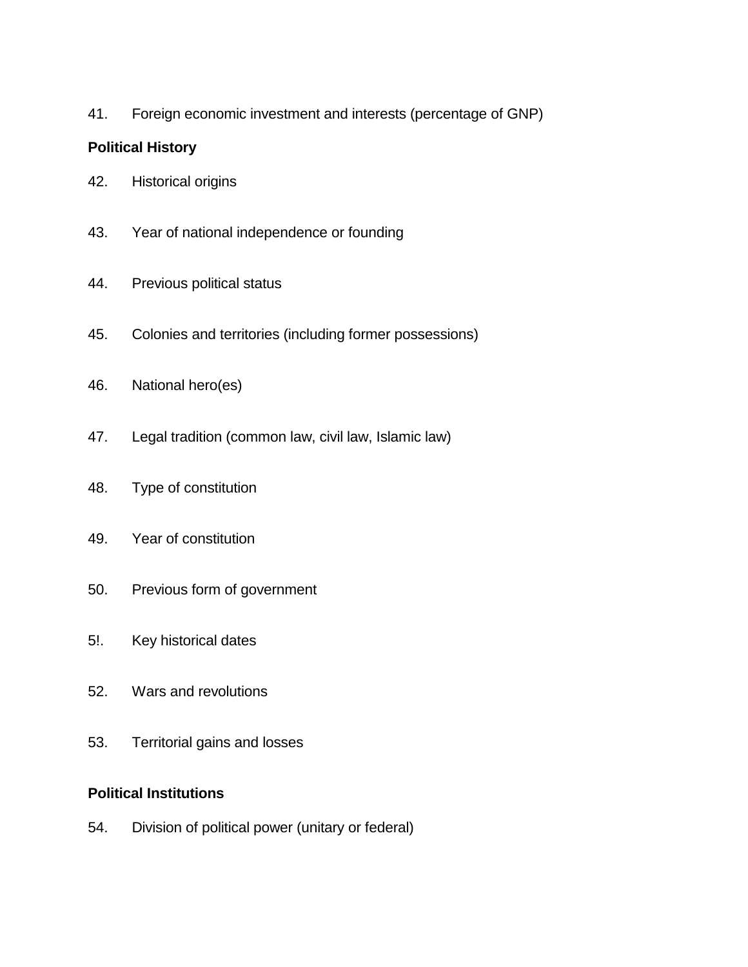41. Foreign economic investment and interests (percentage of GNP)

### **Political History**

- 42. Historical origins
- 43. Year of national independence or founding
- 44. Previous political status
- 45. Colonies and territories (including former possessions)
- 46. National hero(es)
- 47. Legal tradition (common law, civil law, Islamic law)
- 48. Type of constitution
- 49. Year of constitution
- 50. Previous form of government
- 5!. Key historical dates
- 52. Wars and revolutions
- 53. Territorial gains and losses

#### **Political Institutions**

54. Division of political power (unitary or federal)